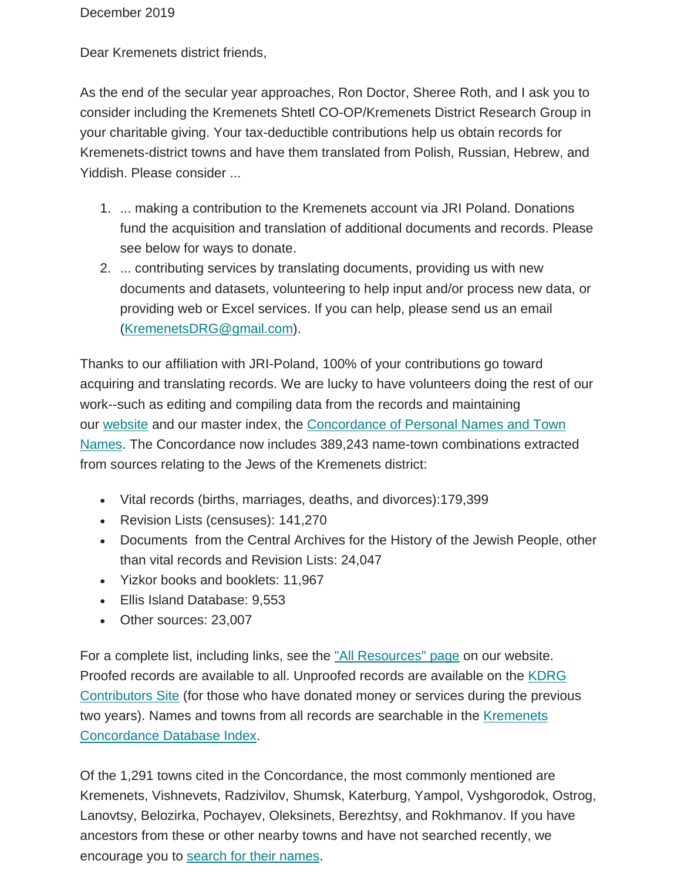Dear Kremenets district friends,

As the end of the secular year approaches, Ron Doctor, Sheree Roth, and I ask you to consider including the Kremenets Shtetl CO-OP/Kremenets District Research Group in your charitable giving. Your tax-deductible contributions help us obtain records for Kremenets-district towns and have them translated from Polish, Russian, Hebrew, and Yiddish. Please consider ...

- 1. ... making a contribution to the Kremenets account via JRI Poland. Donations fund the acquisition and translation of additional documents and records. Please see below for ways to donate.
- 2. ... contributing services by translating documents, providing us with new documents and datasets, volunteering to help input and/or process new data, or providing web or Excel services. If you can help, please send us an email [\(KremenetsDRG@gmail.com\)](mailto:KremenetsDRG@gmail.com).

Thanks to our affiliation with JRI-Poland, 100% of your contributions go toward acquiring and translating records. We are lucky to have volunteers doing the rest of our work--such as editing and compiling data from the records and maintaining our [website](https://kehilalinks.jewishgen.org/Kremenets/web-pages/about-kremenets.html) and our master index, the [Concordance of Personal Names and Town](https://kehilalinks.jewishgen.org/Kremenets/web-pages/master-surnames.html)  [Names.](https://kehilalinks.jewishgen.org/Kremenets/web-pages/master-surnames.html) The Concordance now includes 389,243 name-town combinations extracted from sources relating to the Jews of the Kremenets district:

- Vital records (births, marriages, deaths, and divorces):179,399
- Revision Lists (censuses): 141,270
- Documents from the Central Archives for the History of the Jewish People, other than vital records and Revision Lists: 24,047
- Yizkor books and booklets: 11,967
- Ellis Island Database: 9,553
- Other sources: 23,007

For a complete list, including links, see the ["All Resources" page](https://kehilalinks.jewishgen.org/Kremenets/web-pages/all-resources.html) on our website. Proofed records are available to all. Unproofed records are available on the [KDRG](https://sites.google.com/site/kdrgcontributors/)  [Contributors Site](https://sites.google.com/site/kdrgcontributors/) (for those who have donated money or services during the previous two years). Names and towns from all records are searchable in the [Kremenets](https://kehilalinks.jewishgen.org/Kremenets/web-pages/database/krem_search_frm.html)  [Concordance Database Index.](https://kehilalinks.jewishgen.org/Kremenets/web-pages/database/krem_search_frm.html)

Of the 1,291 towns cited in the Concordance, the most commonly mentioned are Kremenets, Vishnevets, Radzivilov, Shumsk, Katerburg, Yampol, Vyshgorodok, Ostrog, Lanovtsy, Belozirka, Pochayev, Oleksinets, Berezhtsy, and Rokhmanov. If you have ancestors from these or other nearby towns and have not searched recently, we encourage you to [search for their names.](https://kehilalinks.jewishgen.org/Kremenets/web-pages/database/krem_search_frm.html)